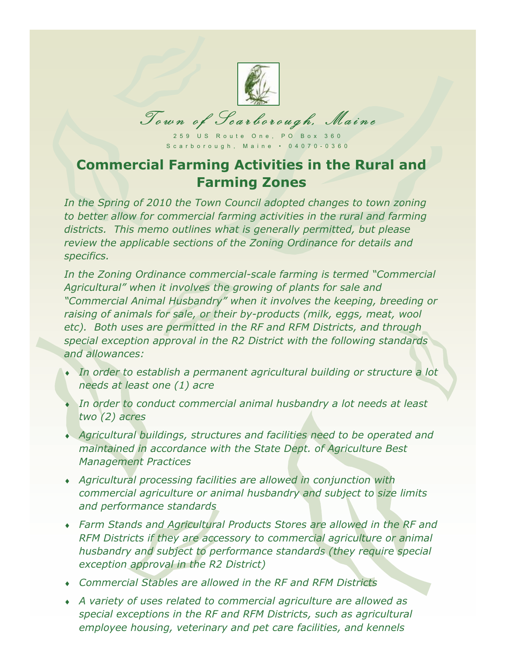

Town of Scarborough, Maine

 $Scarborouah, Maine + 04070-0360$ s said sin a gui, Maine • 04070-0360

## **Commercial Farming Activities in the Rural and Farming Zones**

In the Spring of 2010 the Town Council adopted changes to town zoning *to better allow for commercial farming activities in the rural and farming districts. This memo outlines what is generally permitted, but please review the applicable sections of the Zoning Ordinance for details and specifics.*

*In the Zoning Ordinance commercial-scale farming is termed "Commercial Agricultural" when it involves the growing of plants for sale and "Commercial Animal Husbandry" when it involves the keeping, breeding or raising of animals for sale, or their by-products (milk, eggs, meat, wool etc). Both uses are permitted in the RF and RFM Districts, and through special exception approval in the R2 District with the following standards and allowances:*

- *In order to establish a permanent agricultural building or structure a lot needs at least one (1) acre*
- *In order to conduct commercial animal husbandry a lot needs at least two (2) acres*
- *Agricultural buildings, structures and facilities need to be operated and maintained in accordance with the State Dept. of Agriculture Best Management Practices*
- *Agricultural processing facilities are allowed in conjunction with commercial agriculture or animal husbandry and subject to size limits and performance standards*
- *Farm Stands and Agricultural Products Stores are allowed in the RF and RFM Districts if they are accessory to commercial agriculture or animal husbandry and subject to performance standards (they require special exception approval in the R2 District)*
- *Commercial Stables are allowed in the RF and RFM Districts*
- *A variety of uses related to commercial agriculture are allowed as special exceptions in the RF and RFM Districts, such as agricultural employee housing, veterinary and pet care facilities, and kennels*